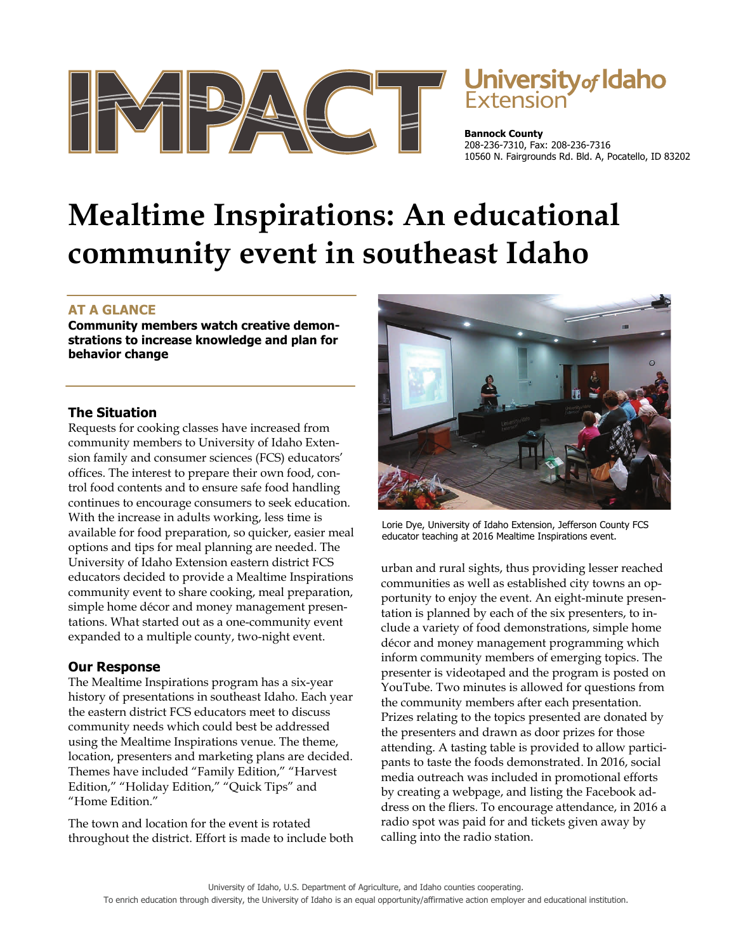

# University of Idaho

**Bannock County**  208-236-7310, Fax: 208-236-7316 10560 N. Fairgrounds Rd. Bld. A, Pocatello, ID 83202

# **Mealtime Inspirations: An educational community event in southeast Idaho**

# **AT A GLANCE**

**Community members watch creative demonstrations to increase knowledge and plan for behavior change** 

# **The Situation**

Requests for cooking classes have increased from community members to University of Idaho Extension family and consumer sciences (FCS) educators' offices. The interest to prepare their own food, control food contents and to ensure safe food handling continues to encourage consumers to seek education. With the increase in adults working, less time is available for food preparation, so quicker, easier meal options and tips for meal planning are needed. The University of Idaho Extension eastern district FCS educators decided to provide a Mealtime Inspirations community event to share cooking, meal preparation, simple home décor and money management presentations. What started out as a one-community event expanded to a multiple county, two-night event.

# **Our Response**

The Mealtime Inspirations program has a six-year history of presentations in southeast Idaho. Each year the eastern district FCS educators meet to discuss community needs which could best be addressed using the Mealtime Inspirations venue. The theme, location, presenters and marketing plans are decided. Themes have included "Family Edition," "Harvest Edition," "Holiday Edition," "Quick Tips" and "Home Edition."

The town and location for the event is rotated throughout the district. Effort is made to include both



Lorie Dye, University of Idaho Extension, Jefferson County FCS educator teaching at 2016 Mealtime Inspirations event.

urban and rural sights, thus providing lesser reached communities as well as established city towns an opportunity to enjoy the event. An eight-minute presentation is planned by each of the six presenters, to include a variety of food demonstrations, simple home décor and money management programming which inform community members of emerging topics. The presenter is videotaped and the program is posted on YouTube. Two minutes is allowed for questions from the community members after each presentation. Prizes relating to the topics presented are donated by the presenters and drawn as door prizes for those attending. A tasting table is provided to allow participants to taste the foods demonstrated. In 2016, social media outreach was included in promotional efforts by creating a webpage, and listing the Facebook address on the fliers. To encourage attendance, in 2016 a radio spot was paid for and tickets given away by calling into the radio station.